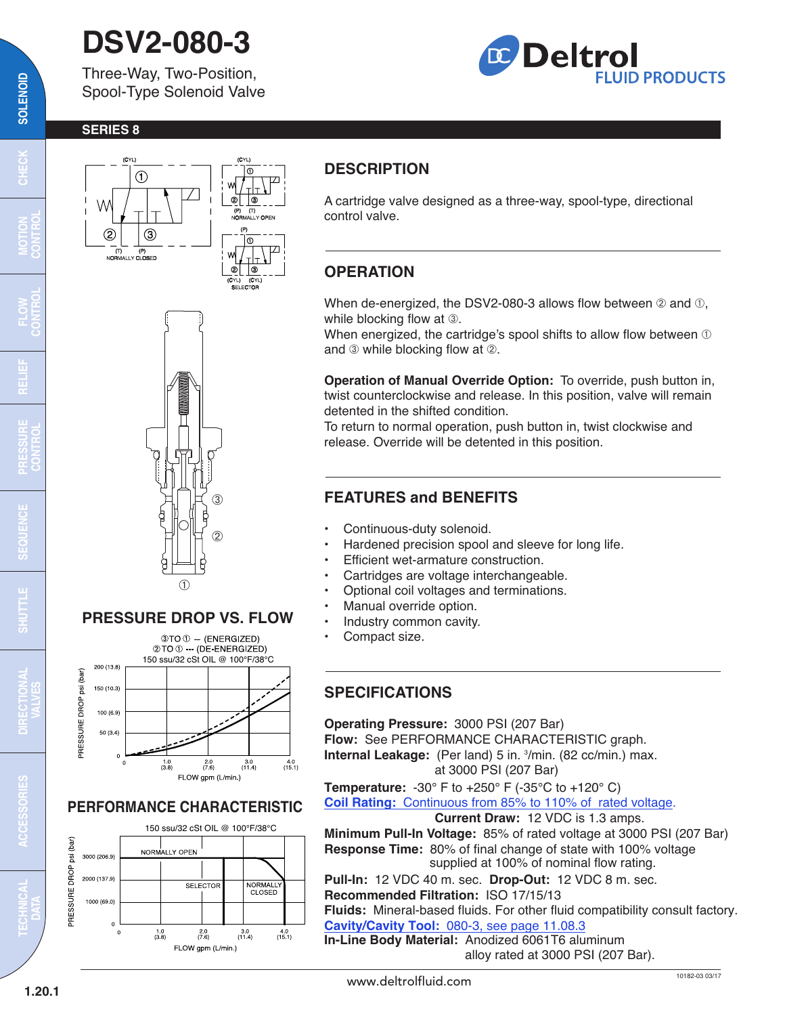# **DSV2-080-3**

Three-Way, Two-Position, Spool-Type Solenoid Valve



#### **SERIES 8**





#### **PRESSURE DROP VS. FLOW**



#### **PERFORMANCE CHARACTERISTIC**



#### **DESCRIPTION**

A cartridge valve designed as a three-way, spool-type, directional control valve.

### **OPERATION**

When de-energized, the DSV2-080-3 allows flow between  $@$  and  $@$ , while blocking flow at  $\circled{3}$ .

When energized, the cartridge's spool shifts to allow flow between  $\mathbb O$ and  $\circled{a}$  while blocking flow at  $\circled{c}$ .

**Operation of Manual Override Option:** To override, push button in, twist counterclockwise and release. In this position, valve will remain detented in the shifted condition.

To return to normal operation, push button in, twist clockwise and release. Override will be detented in this position.

#### **FEATURES and BENEFITS**

- Continuous-duty solenoid.
- Hardened precision spool and sleeve for long life.
- Efficient wet-armature construction.
- Cartridges are voltage interchangeable.
- Optional coil voltages and terminations.
- Manual override option.
- Industry common cavity.
- Compact size.

#### **SPECIFICATIONS**

**Operating Pressure:** 3000 PSI (207 Bar) **Flow:** See PERFORMANCE CHARACTERISTIC graph. **Internal Leakage:** (Per land) 5 in. <sup>3</sup>/min. (82 cc/min.) max. at 3000 PSI (207 Bar)

**Temperature:** -30° F to +250° F (-35°C to +120° C) **Coil Rating:** [Continuous from 85% to 110% of rated voltage.](http://www.deltrolfluid.com/sites/default/files/cartridge/Series-8%20Coils_Complete.pdf)

#### **Current Draw:** 12 VDC is 1.3 amps.

**Minimum Pull-In Voltage:** 85% of rated voltage at 3000 PSI (207 Bar) **Response Time:** 80% of final change of state with 100% voltage supplied at 100% of nominal flow rating.

**Pull-In:** 12 VDC 40 m. sec. **Drop-Out:** 12 VDC 8 m. sec. **Recommended Filtration:** ISO 17/15/13

**Fluids:** Mineral-based fluids. For other fluid compatibility consult factory. **Cavity/Cavity Tool:** [080-3, see page 11.08.3](http://www.deltrolfluid.com/sites/default/files/cartridge/080-3_Cavity.pdf)

**In-Line Body Material:** Anodized 6061T6 aluminum alloy rated at 3000 PSI (207 Bar).

 $\overline{\mathbf{c}}$ 

**MOTION CONTROL**

**FLOW CONTROL**

**RELIEF**

**PRESSURE CONTROL**

<u>u</u>

**SEQUENCE**

**CEQU** 

**TECHNICAL DATA**

**1.20.1**